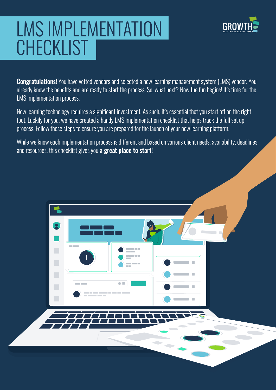# LMS IMPLEMENTATION **CHECKLIST**

1



Congratulations! You have vetted vendors and selected a new learning management system (LMS) vendor. You already know the benefits and are ready to start the process. So, what next? Now the fun begins! It's time for the LMS implementation process.

New learning technology requires a significant investment. As such, it's essential that you start off on the right foot. Luckily for you, we have created a handy LMS implementation checklist that helps track the full set up process. Follow these steps to ensure you are prepared for the launch of your new learning platform.

While we know each implementation process is different and based on various client needs, availability, deadlines and resources, this checklist gives you a great place to start!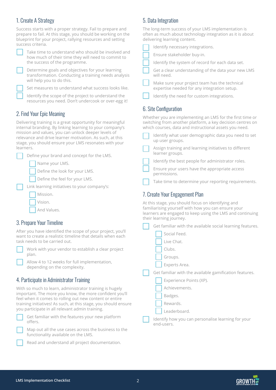# 1. Create A Strategy

Success starts with a proper strategy. Fail to prepare and prepare to fail. At this stage, you should be working on the blueprint for your project, rallying resources and setting success criteria.

Take time to understand who should be involved and how much of their time they will need to commit to the success of the programme.

Determine goals and objectives for your learning transformation. Conducting a training needs analysis will help you to do this.

Set measures to understand what success looks like.

Identify the scope of the project to understand the resources you need. Don't undercook or over-egg it!

# 2. Find Your Epic Meaning

Delivering training is a great opportunity for meaningful internal branding. By linking learning to your company's mission and values, you can unlock deeper levels of relevance and drive learner motivation. As such, at this stage, you should ensure your LMS resonates with your learners.

| Define your brand and concept for the LMS.   |
|----------------------------------------------|
| Name your LMS.                               |
| Define the look for your LMS.                |
| Define the feel for your LMS.                |
| Link learning initiatives to your company's: |
| Mission.                                     |
| Vision.                                      |
| And Values.                                  |

#### 3. Prepare Your Timeline

After you have identified the scope of your project, you'll want to create a realistic timeline that details when each task needs to be carried out.



Work with your vendor to establish a clear project plan.

Allow 4 to 12 weeks for full implementation, depending on the complexity.

# 4. Participate in Administrator Training

With so much to learn, administrator training is hugely important. The more you know, the more confident you'll feel when it comes to rolling out new content or entire training initiatives! As such, at this stage, you should ensure you participate in all relevant admin training.

| Get familiar with the features your new platform |
|--------------------------------------------------|
| offers.                                          |



Map out all the use cases across the business to the functionality available on the LMS.



Read and understand all project documentation.

#### 5. Data Integration

The long-term success of your LMS implementation is often as much about technology integration as it is about delivering learning content.

|  | - 1<br>٠ |
|--|----------|
|  |          |

lentify necessary integrations.

Ensure stakeholder buy-in.

Identify the system of record for each data set.

Get a clear understanding of the data your new LMS will need.

Make sure your project team has the technical expertise needed for any integration setup.

|  |  |  |  | Identify the need for custom integrations. |
|--|--|--|--|--------------------------------------------|
|--|--|--|--|--------------------------------------------|

# 6. Site Configuration

Whether you are implementing an LMS for the first time or switching from another platform, a key decision centres on which courses, data and instructional assets you need.

Identify what user demographic data you need to set up user groups.

Assign training and learning initiatives to different learner groups.

Identify the best people for administrator roles.

Ensure your users have the appropriate access permissions.

Take time to determine your reporting requirements.

#### 7. Create Your Engagement Plan

At this stage, you should focus on identifying and familiarising yourself with how you can ensure your learners are engaged to keep using the LMS and continuing their learning journey.

Get familiar with the available social learning features.

- Social Feed.
- Live Chat.
- Clubs.
- Groups.
- Experts Area.

Get familiar with the available gamification features.

Experience Points (XP).

Achievements.

Badges.

Rewards.

Leaderboard.

Identify how you can personalise learning for your end-users.